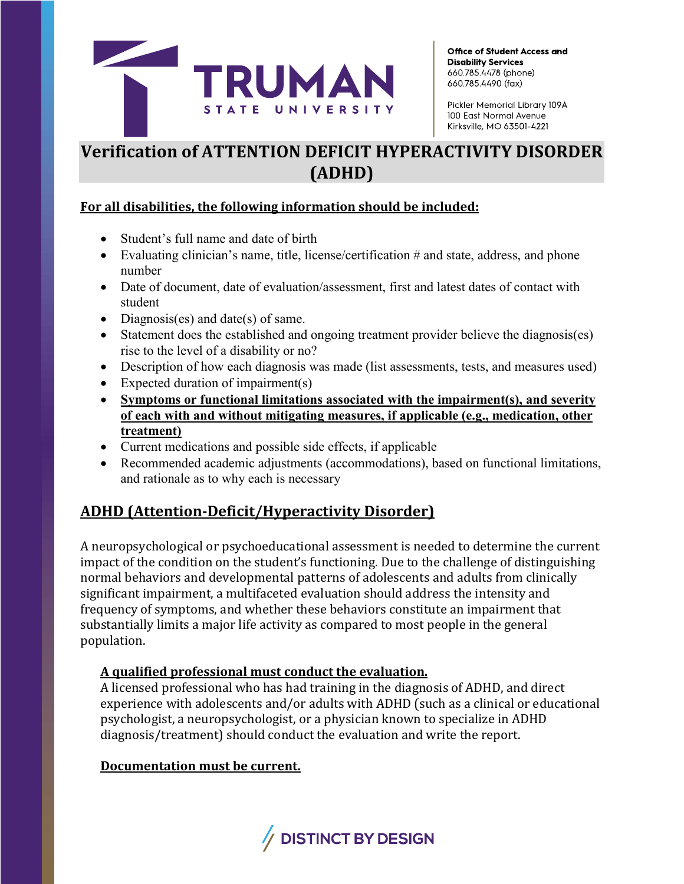

Pickler Memorial Library 109A 100 East Normal Avenue Kirksville, MO 63501-4221

# **Verification of ATTENTION DEFICIT HYPERACTIVITY DISORDER (ADHD)**

#### **For all disabilities, the following information should be included:**

- Student's full name and date of birth
- Evaluating clinician's name, title, license/certification # and state, address, and phone number
- Date of document, date of evaluation/assessment, first and latest dates of contact with student
- Diagnosis(es) and date(s) of same.
- Statement does the established and ongoing treatment provider believe the diagnosis(es) rise to the level of a disability or no?
- Description of how each diagnosis was made (list assessments, tests, and measures used)
- Expected duration of impairment(s)
- **Symptoms or functional limitations associated with the impairment(s), and severity of each with and without mitigating measures, if applicable (e.g., medication, other treatment)**
- Current medications and possible side effects, if applicable
- Recommended academic adjustments (accommodations), based on functional limitations, and rationale as to why each is necessary

## **ADHD (Attention-Deficit/Hyperactivity Disorder)**

A neuropsychological or psychoeducational assessment is needed to determine the current impact of the condition on the student's functioning. Due to the challenge of distinguishing normal behaviors and developmental patterns of adolescents and adults from clinically significant impairment, a multifaceted evaluation should address the intensity and frequency of symptoms, and whether these behaviors constitute an impairment that substantially limits a major life activity as compared to most people in the general population.

### **A qualified professional must conduct the evaluation.**

A licensed professional who has had training in the diagnosis of ADHD, and direct experience with adolescents and/or adults with ADHD (such as a clinical or educational psychologist, a neuropsychologist, or a physician known to specialize in ADHD diagnosis/treatment) should conduct the evaluation and write the report.

#### **Documentation must be current.**